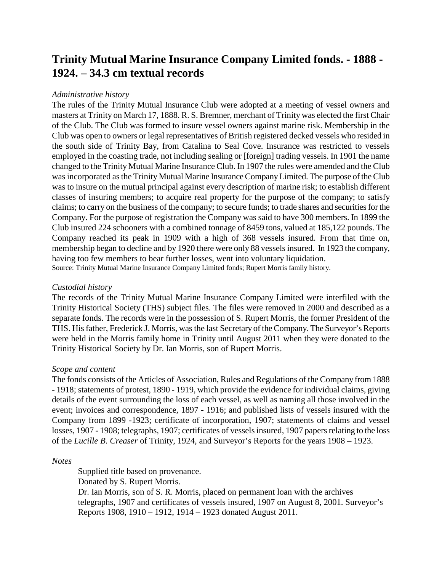## **Trinity Mutual Marine Insurance Company Limited fonds. - 1888 - 1924. – 34.3 cm textual records**

## *Administrative history*

The rules of the Trinity Mutual Insurance Club were adopted at a meeting of vessel owners and masters at Trinity on March 17, 1888. R. S. Bremner, merchant of Trinity was elected the first Chair of the Club. The Club was formed to insure vessel owners against marine risk. Membership in the Club was open to owners or legal representatives of British registered decked vessels who resided in the south side of Trinity Bay, from Catalina to Seal Cove. Insurance was restricted to vessels employed in the coasting trade, not including sealing or [foreign] trading vessels. In 1901 the name changed to the Trinity Mutual Marine Insurance Club. In 1907 the rules were amended and the Club was incorporated as the Trinity Mutual Marine Insurance Company Limited. The purpose of the Club was to insure on the mutual principal against every description of marine risk; to establish different classes of insuring members; to acquire real property for the purpose of the company; to satisfy claims; to carry on the business of the company; to secure funds; to trade shares and securities for the Company. For the purpose of registration the Company was said to have 300 members. In 1899 the Club insured 224 schooners with a combined tonnage of 8459 tons, valued at 185,122 pounds. The Company reached its peak in 1909 with a high of 368 vessels insured. From that time on, membership began to decline and by 1920 there were only 88 vessels insured. In 1923 the company, having too few members to bear further losses, went into voluntary liquidation. Source: Trinity Mutual Marine Insurance Company Limited fonds; Rupert Morris family history.

## *Custodial history*

The records of the Trinity Mutual Marine Insurance Company Limited were interfiled with the Trinity Historical Society (THS) subject files. The files were removed in 2000 and described as a separate fonds. The records were in the possession of S. Rupert Morris, the former President of the THS. His father, Frederick J. Morris, was the last Secretary of the Company. The Surveyor's Reports were held in the Morris family home in Trinity until August 2011 when they were donated to the Trinity Historical Society by Dr. Ian Morris, son of Rupert Morris.

## *Scope and content*

The fonds consists of the Articles of Association, Rules and Regulations of the Company from 1888 - 1918; statements of protest, 1890 - 1919, which provide the evidence for individual claims, giving details of the event surrounding the loss of each vessel, as well as naming all those involved in the event; invoices and correspondence, 1897 - 1916; and published lists of vessels insured with the Company from 1899 -1923; certificate of incorporation, 1907; statements of claims and vessel losses, 1907 - 1908; telegraphs, 1907; certificates of vessels insured, 1907 papers relating to the loss of the *Lucille B. Creaser* of Trinity, 1924, and Surveyor's Reports for the years 1908 – 1923.

*Notes*

Supplied title based on provenance.

Donated by S. Rupert Morris.

Dr. Ian Morris, son of S. R. Morris, placed on permanent loan with the archives telegraphs, 1907 and certificates of vessels insured, 1907 on August 8, 2001. Surveyor's Reports 1908, 1910 – 1912, 1914 – 1923 donated August 2011.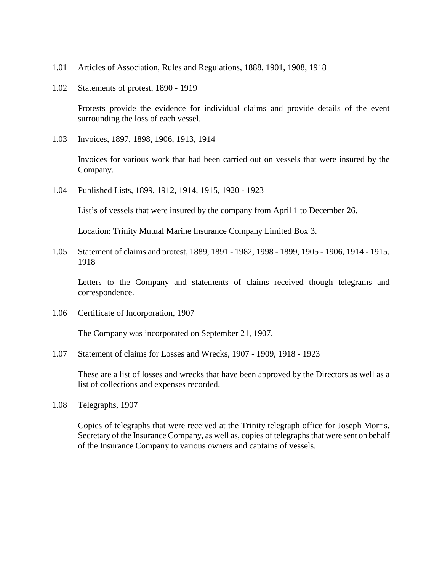- 1.01 Articles of Association, Rules and Regulations, 1888, 1901, 1908, 1918
- 1.02 Statements of protest, 1890 1919

Protests provide the evidence for individual claims and provide details of the event surrounding the loss of each vessel.

1.03 Invoices, 1897, 1898, 1906, 1913, 1914

Invoices for various work that had been carried out on vessels that were insured by the Company.

1.04 Published Lists, 1899, 1912, 1914, 1915, 1920 - 1923

List's of vessels that were insured by the company from April 1 to December 26.

Location: Trinity Mutual Marine Insurance Company Limited Box 3.

1.05 Statement of claims and protest, 1889, 1891 - 1982, 1998 - 1899, 1905 - 1906, 1914 - 1915, 1918

Letters to the Company and statements of claims received though telegrams and correspondence.

1.06 Certificate of Incorporation, 1907

The Company was incorporated on September 21, 1907.

1.07 Statement of claims for Losses and Wrecks, 1907 - 1909, 1918 - 1923

These are a list of losses and wrecks that have been approved by the Directors as well as a list of collections and expenses recorded.

1.08 Telegraphs, 1907

Copies of telegraphs that were received at the Trinity telegraph office for Joseph Morris, Secretary of the Insurance Company, as well as, copies of telegraphs that were sent on behalf of the Insurance Company to various owners and captains of vessels.